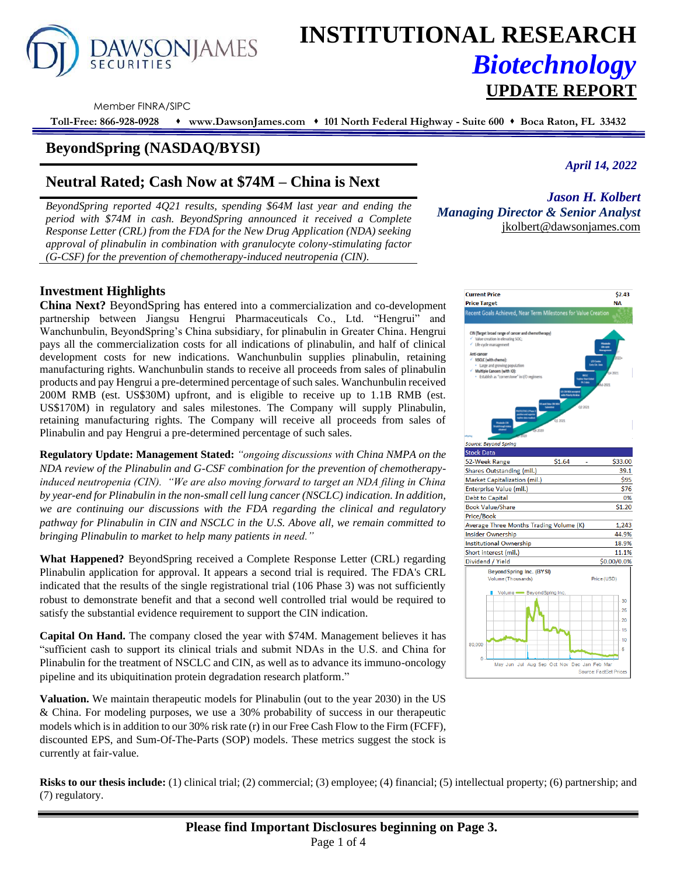

# **INSTITUTIONAL RESEARCH** *Biotechnology* **UPDATE REPORT**

Member FINRA/SIPC

**Toll-Free: 866-928-0928** ⬧ **www.DawsonJames.com** ⬧ **101 North Federal Highway - Suite 600** ⬧ **Boca Raton, FL 33432**

## **BeyondSpring (NASDAQ/BYSI)**

# **Neutral Rated; Cash Now at \$74M – China is Next**

*BeyondSpring reported 4Q21 results, spending \$64M last year and ending the period with \$74M in cash. BeyondSpring announced it received a Complete Response Letter (CRL) from the FDA for the New Drug Application (NDA) seeking approval of plinabulin in combination with granulocyte colony-stimulating factor (G-CSF) for the prevention of chemotherapy-induced neutropenia (CIN).* 

*April 14, 2022*

*Jason H. Kolbert Managing Director & Senior Analyst* [jkolbert@dawsonjames.com](mailto:jkolbert@dawsonjames.com)

## **Investment Highlights**

**China Next?** BeyondSpring has entered into a commercialization and co-development partnership between Jiangsu Hengrui Pharmaceuticals Co., Ltd. "Hengrui" and Wanchunbulin, BeyondSpring's China subsidiary, for plinabulin in Greater China. Hengrui pays all the commercialization costs for all indications of plinabulin, and half of clinical development costs for new indications. Wanchunbulin supplies plinabulin, retaining manufacturing rights. Wanchunbulin stands to receive all proceeds from sales of plinabulin products and pay Hengrui a pre-determined percentage of such sales. Wanchunbulin received 200M RMB (est. US\$30M) upfront, and is eligible to receive up to 1.1B RMB (est. US\$170M) in regulatory and sales milestones. The Company will supply Plinabulin, retaining manufacturing rights. The Company will receive all proceeds from sales of Plinabulin and pay Hengrui a pre-determined percentage of such sales.

**Regulatory Update: Management Stated:** *"ongoing discussions with China NMPA on the NDA review of the Plinabulin and G-CSF combination for the prevention of chemotherapyinduced neutropenia (CIN). "We are also moving forward to target an NDA filing in China by year-end for Plinabulin in the non-small cell lung cancer (NSCLC) indication. In addition, we are continuing our discussions with the FDA regarding the clinical and regulatory pathway for Plinabulin in CIN and NSCLC in the U.S. Above all, we remain committed to bringing Plinabulin to market to help many patients in need."*

**What Happened?** BeyondSpring received a Complete Response Letter (CRL) regarding Plinabulin application for approval. It appears a second trial is required. The FDA's CRL indicated that the results of the single registrational trial (106 Phase 3) was not sufficiently robust to demonstrate benefit and that a second well controlled trial would be required to satisfy the substantial evidence requirement to support the CIN indication.

**Capital On Hand.** The company closed the year with \$74M. Management believes it has "sufficient cash to support its clinical trials and submit NDAs in the U.S. and China for Plinabulin for the treatment of NSCLC and CIN, as well as to advance its immuno-oncology pipeline and its ubiquitination protein degradation research platform."

**Valuation.** We maintain therapeutic models for Plinabulin (out to the year 2030) in the US & China. For modeling purposes, we use a 30% probability of success in our therapeutic models which is in addition to our 30% risk rate (r) in our Free Cash Flow to the Firm (FCFF), discounted EPS, and Sum-Of-The-Parts (SOP) models. These metrics suggest the stock is currently at fair-value.



**Risks to our thesis include:** (1) clinical trial; (2) commercial; (3) employee; (4) financial; (5) intellectual property; (6) partnership; and (7) regulatory.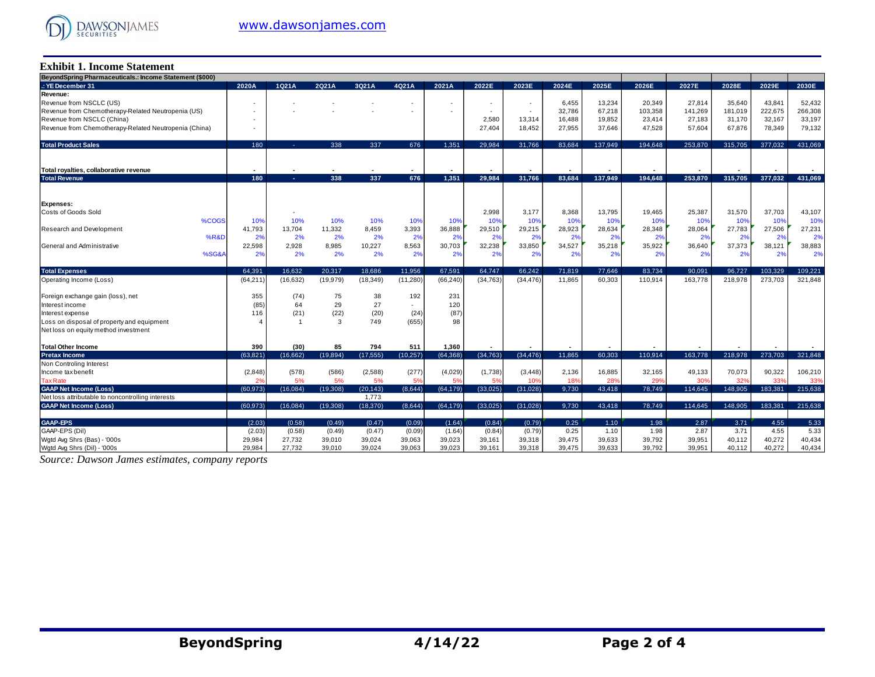

#### **Exhibit 1. Income Statement**

| BeyondSpring Pharmaceuticals.: Income Statement (\$000) |                |           |           |           |           |           |           |           |        |         |         |         |         |         |         |
|---------------------------------------------------------|----------------|-----------|-----------|-----------|-----------|-----------|-----------|-----------|--------|---------|---------|---------|---------|---------|---------|
| : YE December 31                                        | 2020A          | 1Q21A     | 2Q21A     | 3Q21A     | 4Q21A     | 2021A     | 2022E     | 2023E     | 2024E  | 2025E   | 2026E   | 2027E   | 2028E   | 2029E   | 2030E   |
| Revenue:                                                |                |           |           |           |           |           |           |           |        |         |         |         |         |         |         |
| Revenue from NSCLC (US)                                 |                |           |           |           |           | $\sim$    |           | $\sim$    | 6,455  | 13,234  | 20,349  | 27,814  | 35,640  | 43.841  | 52,432  |
| Revenue from Chemotherapy-Related Neutropenia (US)      |                |           |           |           |           |           |           | $\sim$    | 32,786 | 67,218  | 103,358 | 141,269 | 181,019 | 222,675 | 266,308 |
| Revenue from NSCLC (China)                              |                |           |           |           |           |           | 2,580     | 13,314    | 16,488 | 19,852  | 23,414  | 27,183  | 31,170  | 32,167  | 33,197  |
| Revenue from Chemotherapy-Related Neutropenia (China)   |                |           |           |           |           |           | 27.404    | 18,452    | 27,955 | 37.646  | 47,528  | 57.604  | 67,876  | 78,349  | 79,132  |
|                                                         |                |           |           |           |           |           |           |           |        |         |         |         |         |         |         |
| <b>Total Product Sales</b>                              | 180            |           | 338       | 337       | 676       | 1.351     | 29.984    | 31,766    | 83.684 | 137.949 | 194.648 | 253.870 | 315,705 | 377,032 | 431.069 |
|                                                         |                |           |           |           |           |           |           |           |        |         |         |         |         |         |         |
| Total royalties, collaborative revenue                  |                |           |           |           |           |           |           |           |        |         |         |         |         |         |         |
| <b>Total Revenue</b>                                    | 180            | . .       | 338       | 337       | 676       | 1.351     | 29,984    | 31,766    | 83,684 | 137.949 | 194,648 | 253,870 | 315,705 | 377,032 | 431,069 |
|                                                         |                |           |           |           |           |           |           |           |        |         |         |         |         |         |         |
| <b>Expenses:</b>                                        |                |           |           |           |           |           |           |           |        |         |         |         |         |         |         |
| Costs of Goods Sold                                     |                |           |           |           |           |           | 2,998     | 3,177     | 8,368  | 13,795  | 19,465  | 25,387  | 31,570  | 37,703  | 43,107  |
| %COGS                                                   | 10%            | 10%       | 10%       | 10%       | 10%       | 10%       | 10%       | 10%       | 10%    | 10%     | 10%     | 10%     | 10%     | 10%     | 10%     |
| Research and Development                                | 41,793         | 13,704    | 11,332    | 8,459     | 3,393     | 36,888    | 29,510    | 29,215    | 28,923 | 28,634  | 28,348  | 28,064  | 27,783  | 27,506  | 27,231  |
| %R&D                                                    | 2%             | 2%        | 2%        | 2%        | 2%        | 2%        | 2%        | 2%        | 2%     | 2%      | 2%      | 2%      | 2%      | 2%      | 2%      |
| General and Administrative                              | 22,598         | 2,928     | 8,985     | 10,227    | 8,563     | 30,703    | 32,238    | 33,850    | 34,527 | 35,218  | 35,922  | 36,640  | 37,373  | 38,121  | 38,883  |
| %SG&A                                                   | 2%             | 2%        | 2%        | 2%        | 2%        | 2%        | 2%        | 2%        | 2%     | 2%      | 2%      | 2%      | 2%      | 2%      | 2%      |
| <b>Total Expenses</b>                                   | 64.391         | 16.632    | 20.317    | 18.686    | 11.956    | 67.591    | 64.747    | 66.242    | 71,819 | 77.646  | 83.734  | 90,091  | 96.727  | 103.329 | 109,221 |
| Operating Income (Loss)                                 | (64, 211)      | (16, 632) | (19, 979) | (18, 349) | (11, 280) | (66, 240) | (34, 763) | (34, 476) | 11,865 | 60,303  | 110,914 | 163,778 | 218,978 | 273,703 | 321,848 |
|                                                         |                |           |           |           |           |           |           |           |        |         |         |         |         |         |         |
| Foreign exchange gain (loss), net                       | 355            | (74)      | 75        | 38        | 192       | 231       |           |           |        |         |         |         |         |         |         |
| Interest income                                         | (85)           | 64        | 29        | 27        | $\sim$    | 120       |           |           |        |         |         |         |         |         |         |
| Interest expense                                        | 116            | (21)      | (22)      | (20)      | (24)      | (87)      |           |           |        |         |         |         |         |         |         |
| Loss on disposal of property and equipment              |                |           | 3         | 749       | (655)     | 98        |           |           |        |         |         |         |         |         |         |
| Net loss on equity method investment                    |                |           |           |           |           |           |           |           |        |         |         |         |         |         |         |
| <b>Total Other Income</b>                               | 390            | (30)      | 85        | 794       | 511       | 1,360     |           |           |        |         |         |         |         |         |         |
| <b>Pretax Income</b>                                    | (63.821)       | (16.662)  | (19, 894) | (17, 555) | (10, 257) | (64, 368) | (34, 763) | (34, 476) | 11,865 | 60.303  | 110,914 | 163,778 | 218,978 | 273,703 | 321,848 |
| Non Controling Interest                                 |                |           |           |           |           |           |           |           |        |         |         |         |         |         |         |
| Income tax benefit                                      | (2,848)        | (578)     | (586)     | (2,588)   | (277)     | (4,029)   | (1,738)   | (3, 448)  | 2,136  | 16,885  | 32,165  | 49,133  | 70,073  | 90,322  | 106,210 |
| <b>Tax Rate</b>                                         | 2 <sup>9</sup> | 5%        | 5%        | 5%        | 5%        | 5%        | 5%        | 10%       | 18%    | 28%     | 29%     | 30%     | 32%     | 33%     | 33%     |
| <b>GAAP Net Income (Loss)</b>                           | (60, 973)      | (16,084)  | (19, 308) | (20, 143) | (8,644)   | (64, 179) | (33,025)  | (31,028)  | 9,730  | 43,418  | 78,749  | 114,645 | 148,905 | 183,381 | 215,638 |
| Net loss attributable to noncontrolling interests       |                |           |           | 1,773     |           |           |           |           |        |         |         |         |         |         |         |
| <b>GAAP Net Income (Loss)</b>                           | (60.973)       | (16.084)  | (19.308)  | (18.370)  | (8.644)   | (64, 179) | (33.025)  | (31.028)  | 9.730  | 43.418  | 78.749  | 114.645 | 148,905 | 183.381 | 215,638 |
|                                                         |                |           |           |           |           |           |           |           |        |         |         |         |         |         |         |
| <b>GAAP-EPS</b>                                         | (2.03)         | (0.58)    | (0.49)    | (0.47)    | (0.09)    | (1.64)    | (0.84)    | (0.79)    | 0.25   | 1.10    | 1.98    | 2.87    | 3.71    | 4.55    | 5.33    |
| GAAP-EPS (Dil)                                          | (2.03)         | (0.58)    | (0.49)    | (0.47)    | (0.09)    | (1.64)    | (0.84)    | (0.79)    | 0.25   | 1.10    | 1.98    | 2.87    | 3.71    | 4.55    | 5.33    |
| Wgtd Avg Shrs (Bas) - '000s                             | 29,984         | 27,732    | 39,010    | 39,024    | 39,063    | 39,023    | 39.161    | 39,318    | 39,475 | 39,633  | 39,792  | 39.951  | 40,112  | 40.272  | 40,434  |
| Wgtd Avg Shrs (Dil) - '000s                             | 29,984         | 27,732    | 39,010    | 39,024    | 39,063    | 39,023    | 39,161    | 39,318    | 39,475 | 39.633  | 39,792  | 39.951  | 40,112  | 40.272  | 40,434  |

*Source: Dawson James estimates, company reports*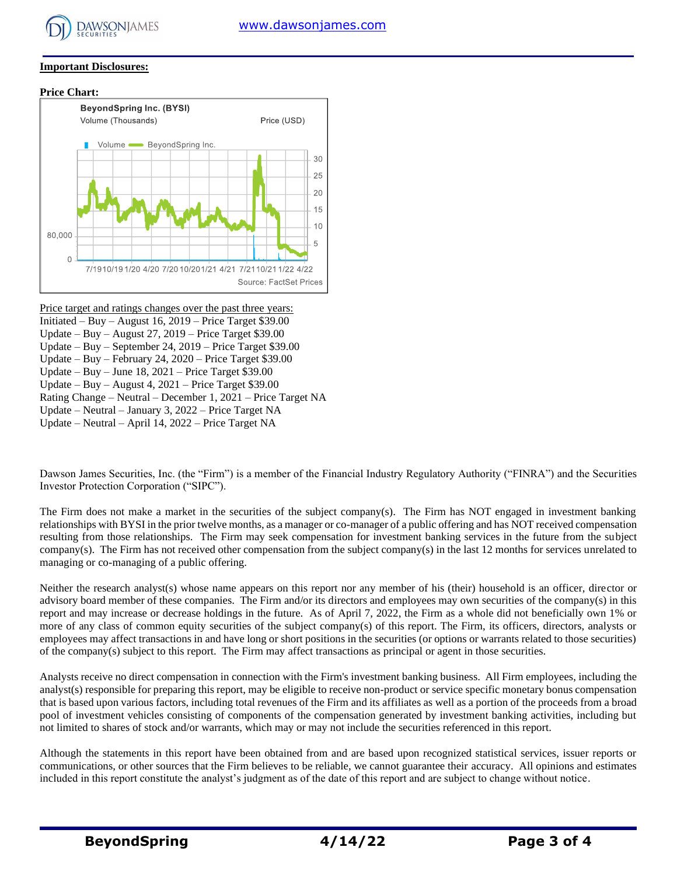

#### **Important Disclosures:**





Price target and ratings changes over the past three years: Initiated – Buy – August 16,  $2019$  – Price Target \$39.00 Update – Buy – August 27, 2019 – Price Target \$39.00 Update – Buy – September 24, 2019 – Price Target \$39.00 Update – Buy – February 24, 2020 – Price Target \$39.00 Update – Buy – June 18, 2021 – Price Target \$39.00 Update – Buy – August 4, 2021 – Price Target \$39.00 Rating Change – Neutral – December 1, 2021 – Price Target NA Update – Neutral – January 3, 2022 – Price Target NA Update – Neutral – April 14, 2022 – Price Target NA

Dawson James Securities, Inc. (the "Firm") is a member of the Financial Industry Regulatory Authority ("FINRA") and the Securities Investor Protection Corporation ("SIPC").

The Firm does not make a market in the securities of the subject company(s). The Firm has NOT engaged in investment banking relationships with BYSI in the prior twelve months, as a manager or co-manager of a public offering and has NOT received compensation resulting from those relationships. The Firm may seek compensation for investment banking services in the future from the subject company(s). The Firm has not received other compensation from the subject company(s) in the last 12 months for services unrelated to managing or co-managing of a public offering.

Neither the research analyst(s) whose name appears on this report nor any member of his (their) household is an officer, director or advisory board member of these companies. The Firm and/or its directors and employees may own securities of the company(s) in this report and may increase or decrease holdings in the future. As of April 7, 2022, the Firm as a whole did not beneficially own 1% or more of any class of common equity securities of the subject company(s) of this report. The Firm, its officers, directors, analysts or employees may affect transactions in and have long or short positions in the securities (or options or warrants related to those securities) of the company(s) subject to this report. The Firm may affect transactions as principal or agent in those securities.

Analysts receive no direct compensation in connection with the Firm's investment banking business. All Firm employees, including the analyst(s) responsible for preparing this report, may be eligible to receive non-product or service specific monetary bonus compensation that is based upon various factors, including total revenues of the Firm and its affiliates as well as a portion of the proceeds from a broad pool of investment vehicles consisting of components of the compensation generated by investment banking activities, including but not limited to shares of stock and/or warrants, which may or may not include the securities referenced in this report.

Although the statements in this report have been obtained from and are based upon recognized statistical services, issuer reports or communications, or other sources that the Firm believes to be reliable, we cannot guarantee their accuracy. All opinions and estimates included in this report constitute the analyst's judgment as of the date of this report and are subject to change without notice.